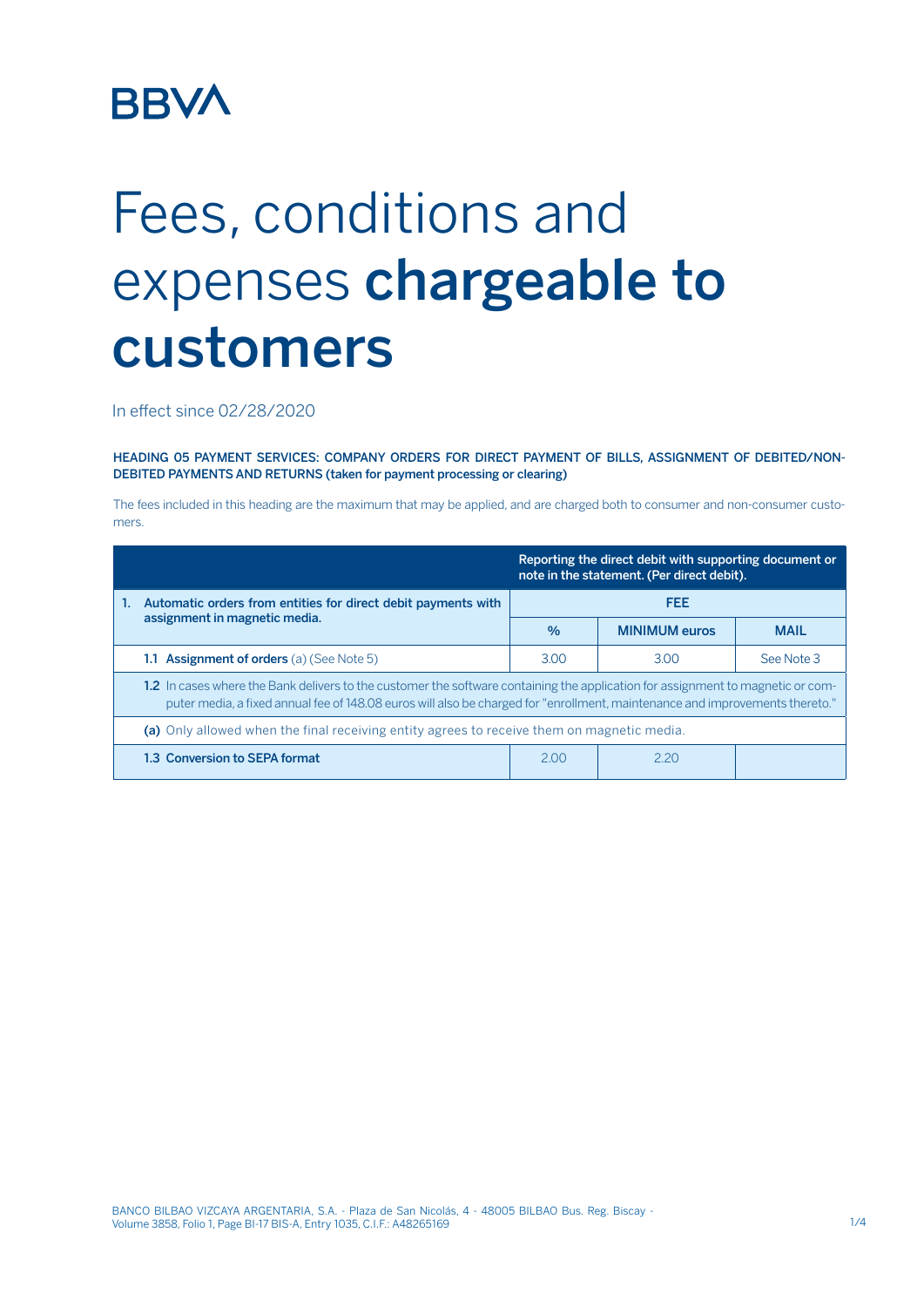## **BBVA**

## Fees, conditions and expenses chargeable to customers

In effect since 02/28/2020

HEADING 05 PAYMENT SERVICES: COMPANY ORDERS FOR DIRECT PAYMENT OF BILLS, ASSIGNMENT OF DEBITED/NON-DEBITED PAYMENTS AND RETURNS (taken for payment processing or clearing)

The fees included in this heading are the maximum that may be applied, and are charged both to consumer and non-consumer customers.

|                                                                                                                                                                                                                                                                 | Reporting the direct debit with supporting document or<br>note in the statement. (Per direct debit). |                      |             |  |  |  |  |
|-----------------------------------------------------------------------------------------------------------------------------------------------------------------------------------------------------------------------------------------------------------------|------------------------------------------------------------------------------------------------------|----------------------|-------------|--|--|--|--|
| Automatic orders from entities for direct debit payments with<br>1.                                                                                                                                                                                             | <b>FEE</b>                                                                                           |                      |             |  |  |  |  |
| assignment in magnetic media.                                                                                                                                                                                                                                   | $\%$                                                                                                 | <b>MINIMUM</b> euros | <b>MAIL</b> |  |  |  |  |
| <b>1.1 Assignment of orders</b> (a) (See Note 5)                                                                                                                                                                                                                | 3.00                                                                                                 | 3.00                 | See Note 3  |  |  |  |  |
| 1.2 In cases where the Bank delivers to the customer the software containing the application for assignment to magnetic or com-<br>puter media, a fixed annual fee of 148.08 euros will also be charged for "enrollment, maintenance and improvements thereto." |                                                                                                      |                      |             |  |  |  |  |
| (a) Only allowed when the final receiving entity agrees to receive them on magnetic media.                                                                                                                                                                      |                                                                                                      |                      |             |  |  |  |  |
| 1.3 Conversion to SEPA format                                                                                                                                                                                                                                   | 200                                                                                                  | 2.20                 |             |  |  |  |  |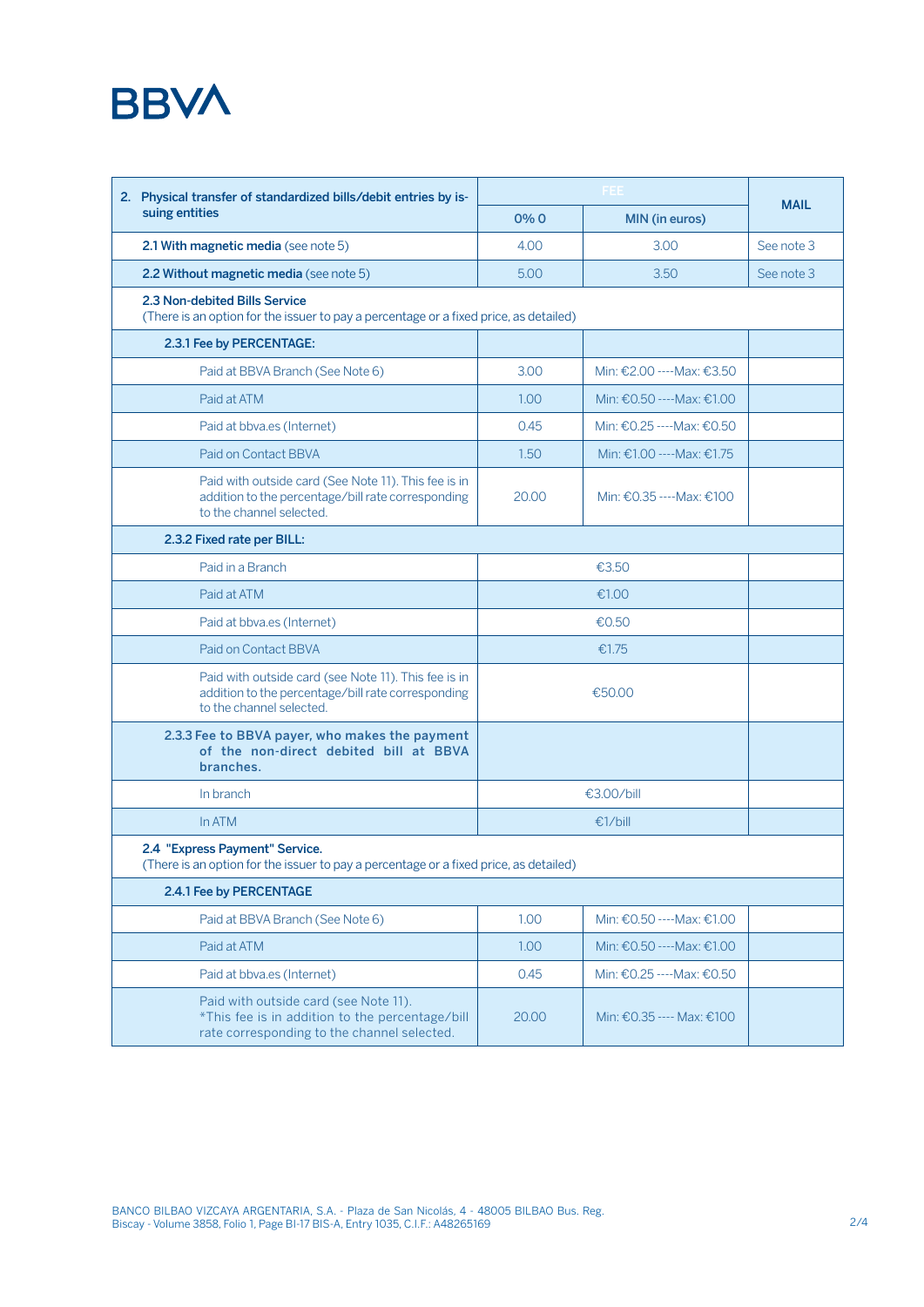

| 2. Physical transfer of standardized bills/debit entries by is-                                                                         |        |                                    |                            |            |  |  |
|-----------------------------------------------------------------------------------------------------------------------------------------|--------|------------------------------------|----------------------------|------------|--|--|
| suing entities                                                                                                                          | $0\%0$ | MIN (in euros)                     | <b>MAIL</b>                |            |  |  |
| 2.1 With magnetic media (see note 5)                                                                                                    |        | 4.00                               | 3.00                       | See note 3 |  |  |
| 2.2 Without magnetic media (see note 5)                                                                                                 |        | 5.00                               | 3.50                       | See note 3 |  |  |
| 2.3 Non-debited Bills Service<br>(There is an option for the issuer to pay a percentage or a fixed price, as detailed)                  |        |                                    |                            |            |  |  |
| 2.3.1 Fee by PERCENTAGE:                                                                                                                |        |                                    |                            |            |  |  |
| Paid at BBVA Branch (See Note 6)                                                                                                        |        | 3.00                               | Min: €2.00 ---- Max: €3.50 |            |  |  |
| Paid at ATM                                                                                                                             |        | 1.00                               | Min: €0.50 ---- Max: €1.00 |            |  |  |
| Paid at bbva.es (Internet)                                                                                                              |        | 0.45                               | Min: €0.25 ---- Max: €0.50 |            |  |  |
| Paid on Contact BBVA                                                                                                                    |        | 1.50                               | Min: €1.00 ---- Max: €1.75 |            |  |  |
| Paid with outside card (See Note 11). This fee is in<br>addition to the percentage/bill rate corresponding<br>to the channel selected.  |        | 20.00                              | Min: €0.35 ---- Max: €100  |            |  |  |
| 2.3.2 Fixed rate per BILL:                                                                                                              |        |                                    |                            |            |  |  |
| Paid in a Branch                                                                                                                        |        |                                    |                            |            |  |  |
| Paid at ATM                                                                                                                             |        | €1.00                              |                            |            |  |  |
| Paid at bbva.es (Internet)                                                                                                              |        |                                    |                            |            |  |  |
| Paid on Contact BBVA                                                                                                                    |        |                                    |                            |            |  |  |
| Paid with outside card (see Note 11). This fee is in<br>addition to the percentage/bill rate corresponding<br>to the channel selected.  |        |                                    |                            |            |  |  |
| 2.3.3 Fee to BBVA payer, who makes the payment<br>of the non-direct debited bill at BBVA<br>branches.                                   |        |                                    |                            |            |  |  |
| In branch                                                                                                                               |        |                                    |                            |            |  |  |
| InATM                                                                                                                                   |        |                                    |                            |            |  |  |
| 2.4 "Express Payment" Service.<br>(There is an option for the issuer to pay a percentage or a fixed price, as detailed)                 |        |                                    |                            |            |  |  |
| 2.4.1 Fee by PERCENTAGE                                                                                                                 |        |                                    |                            |            |  |  |
| Paid at BBVA Branch (See Note 6)                                                                                                        |        | 1.00                               | Min: €0.50 ---- Max: €1.00 |            |  |  |
| Paid at ATM                                                                                                                             |        | 1.00                               | Min: €0.50 ---- Max: €1.00 |            |  |  |
| Paid at bbva.es (Internet)                                                                                                              |        | 0.45<br>Min: €0.25 ---- Max: €0.50 |                            |            |  |  |
| Paid with outside card (see Note 11).<br>*This fee is in addition to the percentage/bill<br>rate corresponding to the channel selected. |        | 20.00                              | Min: €0.35 ---- Max: €100  |            |  |  |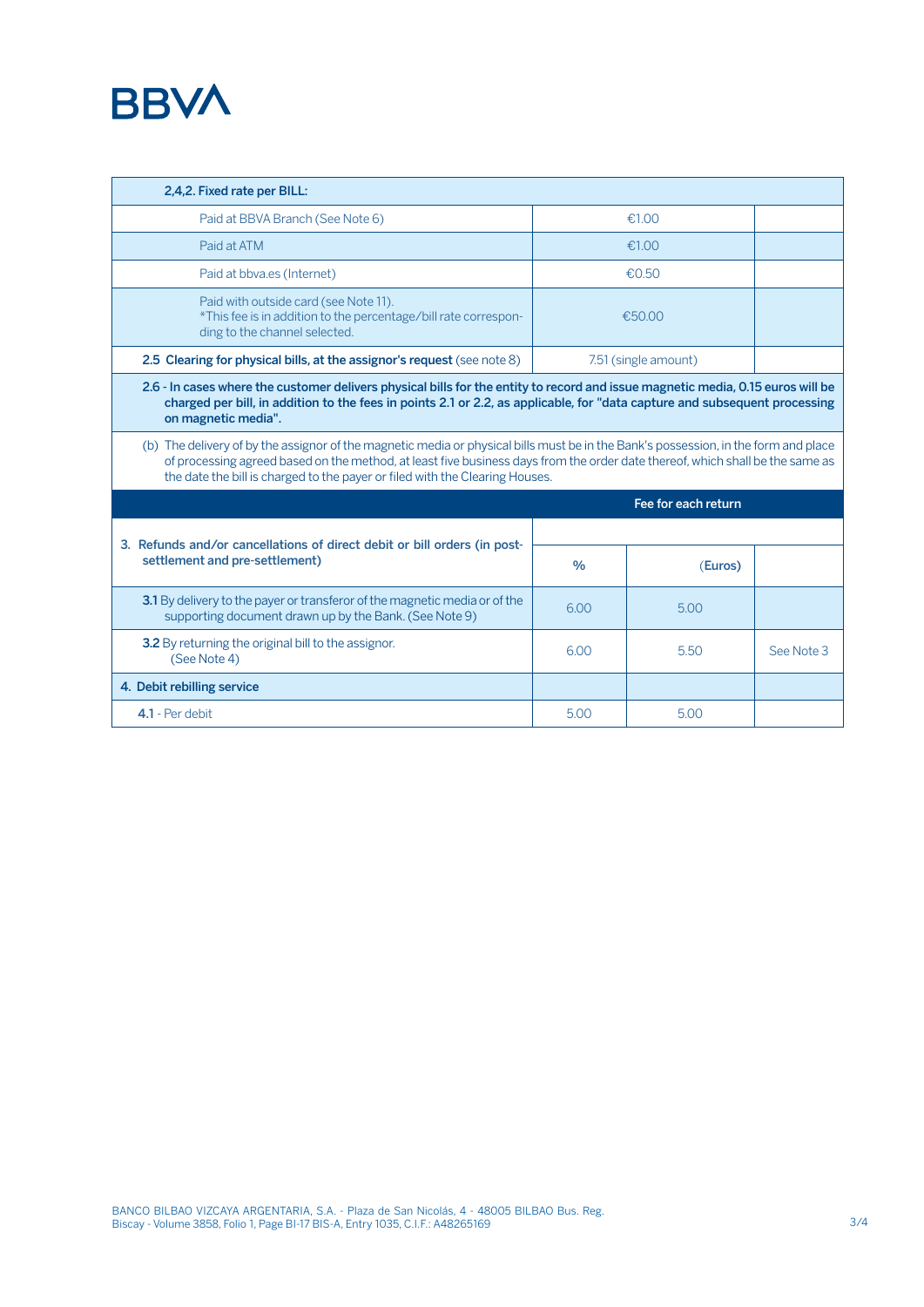

| 2,4,2. Fixed rate per BILL:                                                                                                                                                                                                                                                                                                                          |                      |         |            |  |  |  |  |
|------------------------------------------------------------------------------------------------------------------------------------------------------------------------------------------------------------------------------------------------------------------------------------------------------------------------------------------------------|----------------------|---------|------------|--|--|--|--|
| Paid at BBVA Branch (See Note 6)                                                                                                                                                                                                                                                                                                                     | €1.00                |         |            |  |  |  |  |
| Paid at ATM                                                                                                                                                                                                                                                                                                                                          | €1.00                |         |            |  |  |  |  |
| Paid at bbva.es (Internet)                                                                                                                                                                                                                                                                                                                           | €0.50                |         |            |  |  |  |  |
| Paid with outside card (see Note 11).<br>*This fee is in addition to the percentage/bill rate correspon-<br>ding to the channel selected.                                                                                                                                                                                                            | €50.00               |         |            |  |  |  |  |
| 2.5 Clearing for physical bills, at the assignor's request (see note 8)                                                                                                                                                                                                                                                                              | 7.51 (single amount) |         |            |  |  |  |  |
| 2.6 - In cases where the customer delivers physical bills for the entity to record and issue magnetic media, 0.15 euros will be<br>charged per bill, in addition to the fees in points 2.1 or 2.2, as applicable, for "data capture and subsequent processing<br>on magnetic media".                                                                 |                      |         |            |  |  |  |  |
| (b) The delivery of by the assignor of the magnetic media or physical bills must be in the Bank's possession, in the form and place<br>of processing agreed based on the method, at least five business days from the order date thereof, which shall be the same as<br>the date the bill is charged to the payer or filed with the Clearing Houses. |                      |         |            |  |  |  |  |
|                                                                                                                                                                                                                                                                                                                                                      | Fee for each return  |         |            |  |  |  |  |
|                                                                                                                                                                                                                                                                                                                                                      |                      |         |            |  |  |  |  |
| 3. Refunds and/or cancellations of direct debit or bill orders (in post-<br>settlement and pre-settlement)                                                                                                                                                                                                                                           | $\%$                 | (Euros) |            |  |  |  |  |
| 3.1 By delivery to the payer or transferor of the magnetic media or of the<br>supporting document drawn up by the Bank. (See Note 9)                                                                                                                                                                                                                 | 6.00                 | 5.00    |            |  |  |  |  |
| 3.2 By returning the original bill to the assignor.<br>(See Note 4)                                                                                                                                                                                                                                                                                  | 6.00                 | 5.50    | See Note 3 |  |  |  |  |
| 4. Debit rebilling service                                                                                                                                                                                                                                                                                                                           |                      |         |            |  |  |  |  |
| 4.1 - Per debit                                                                                                                                                                                                                                                                                                                                      | 5.00                 | 5.00    |            |  |  |  |  |